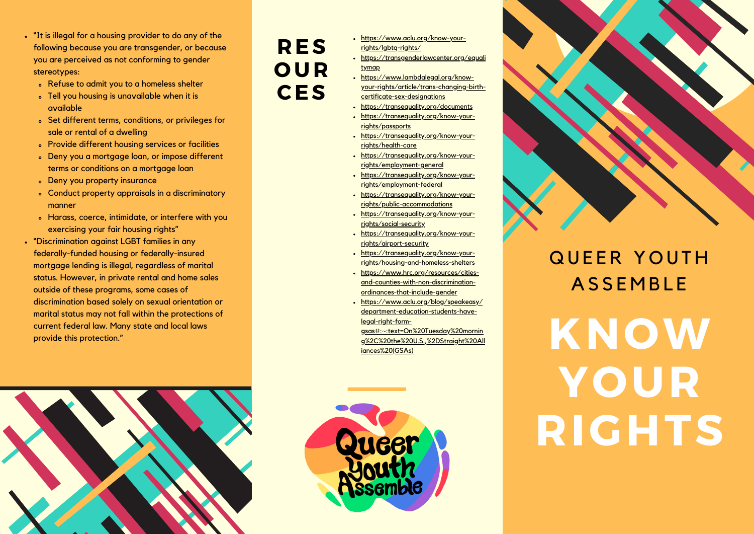- . "It is illegal for a housing provider to do any of the following because you are transgender, or because you are perceived as not conforming to gender stereotypes:
	- . Refuse to admit you to a homeless shelter
	- Tell you housing is unavailable when it is available
	- Set different terms, conditions, or privileges for sale or rental of a dwelling
	- Provide different housing services or facilities
	- . Deny you a mortgage loan, or impose different terms or conditions on a mortgage loan
	- Deny you property insurance
	- Conduct property appraisals in a discriminatory manner
	- Harass, coerce, intimidate, or interfere with you exercising your fair housing rights"
- "Discrimination against LGBT families in any federally-funded housing or federally-insured mortgage lending is illegal, regardless of marital status. However, in private rental and home sales outside of these programs, some cases of discrimination based solely on sexual orientation or marital status may not fall within the protections of current federal law. Many state and local laws provide this protection."

## **RES** OUR **CES**

- https://www.aclu.org/know-yourrights/lgbtq-rights/
- https://transgenderlawcenter.org/equali tymap
- https://www.lambdalegal.org/knowyour-rights/article/trans-chanaina-birthcertificate-sex-designations
- https://transequality.org/documents
- https://transequality.org/know-yourrights/passports
- https://transequality.org/know-yourriahts/health-care
- https://transequality.org/know-yourrights/employment-general
- https://transequality.org/know-yourrights/employment-federal
- https://transequality.org/know-yourrights/public-accommodations
- https://transequality.org/know-yourrights/social-security
- https://transequality.org/know-yourrights/girport-security
- https://transequality.org/know-yourrights/housing-and-homeless-shelters
- https://www.hrc.org/resources/citiesand-counties-with-non-discriminationordinances-that-include-gender
- https://www.aclu.org/blog/speakeasy/ department-education-students-havelegal-right-form-

gsas#:~:text=On%20Tuesday%20mornin g%2C%20the%20U.S.,%2DStraight%20All iances%20(GSAs)



## **QUEER YOUTH ASSEMBLE**

KNOW YOUR RIGHTS